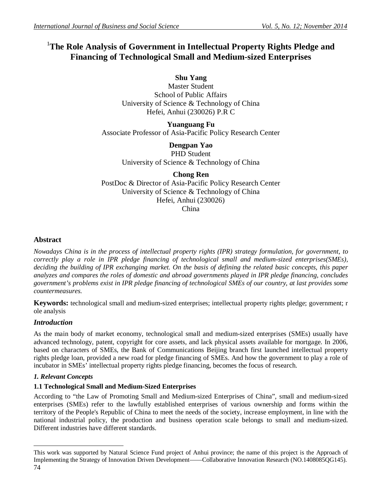# <sup>1</sup>**The Role Analysis of Government in Intellectual Property Rights Pledge and Financing of Technological Small and Medium-sized Enterprises**

**Shu Yang**

Master Student School of Public Affairs University of Science & Technology of China Hefei, Anhui (230026) P.R C

**Yuanguang Fu** Associate Professor of Asia-Pacific Policy Research Center

> **Dengpan Yao** PHD Student University of Science & Technology of China

**Chong Ren** PostDoc & Director of Asia-Pacific Policy Research Center University of Science & Technology of China Hefei, Anhui (230026) China

# **Abstract**

*Nowadays China is in the process of intellectual property rights (IPR) strategy formulation, for government, to correctly play a role in IPR pledge financing of technological small and medium-sized enterprises(SMEs), deciding the building of IPR exchanging market. On the basis of defining the related basic concepts, this paper analyzes and compares the roles of domestic and abroad governments played in IPR pledge financing, concludes government's problems exist in IPR pledge financing of technological SMEs of our country, at last provides some countermeasures.*

**Keywords:** technological small and medium-sized enterprises; intellectual property rights pledge; government; r ole analysis

# *Introduction*

As the main body of market economy, technological small and medium-sized enterprises (SMEs) usually have advanced technology, patent, copyright for core assets, and lack physical assets available for mortgage. In 2006, based on characters of SMEs, the Bank of Communications Beijing branch first launched intellectual property rights pledge loan, provided a new road for pledge financing of SMEs. And how the government to play a role of incubator in SMEs' intellectual property rights pledge financing, becomes the focus of research.

# *1. Relevant Concepts*

# **1.1 Technological Small and Medium-Sized Enterprises**

According to "the Law of Promoting Small and Medium-sized Enterprises of China", small and medium-sized enterprises (SMEs) refer to the lawfully established enterprises of various ownership and forms within the territory of the People's Republic of China to meet the needs of the society, increase employment, in line with the national industrial policy, the production and business operation scale belongs to small and medium-sized. Different industries have different standards.

<sup>74</sup>  $\overline{a}$ This work was supported by Natural Science Fund project of Anhui province; the name of this project is the Approach of Implementing the Strategy of Innovation Driven Development——Collaborative Innovation Research (NO.1408085QG145).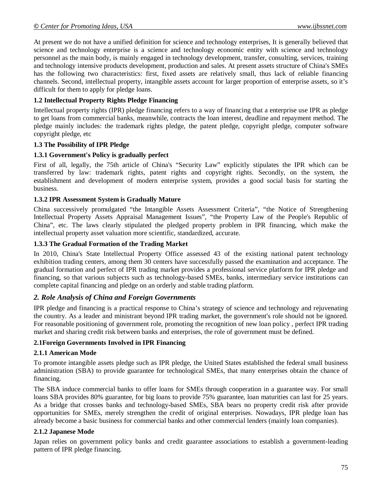At present we do not have a unified definition for science and technology enterprises, It is generally believed that science and technology enterprise is a science and technology economic entity with science and technology personnel as the main body, is mainly engaged in technology development, transfer, consulting, services, training and technology intensive products development, production and sales. At present assets structure of China's SMEs has the following two characteristics: first, fixed assets are relatively small, thus lack of reliable financing channels. Second, intellectual property, intangible assets account for larger proportion of enterprise assets, so it's difficult for them to apply for pledge loans.

## **1.2 Intellectual Property Rights Pledge Financing**

Intellectual property rights (IPR) pledge financing refers to a way of financing that a enterprise use IPR as pledge to get loans from commercial banks, meanwhile, contracts the loan interest, deadline and repayment method. The pledge mainly includes: the trademark rights pledge, the patent pledge, copyright pledge, computer software copyright pledge, etc

#### **1.3 The Possibility of IPR Pledge**

## **1.3.1 Government's Policy is gradually perfect**

First of all, legally, the 75th article of China's "Security Law" explicitly stipulates the IPR which can be transferred by law: trademark rights, patent rights and copyright rights. Secondly, on the system, the establishment and development of modern enterprise system, provides a good social basis for starting the business.

## **1.3.2 IPR Assessment System is Gradually Mature**

China successively promulgated "the Intangible Assets Assessment Criteria", "the Notice of Strengthening Intellectual Property Assets Appraisal Management Issues", "the Property Law of the People's Republic of China", etc. The laws clearly stipulated the pledged property problem in IPR financing, which make the intellectual property asset valuation more scientific, standardized, accurate.

## **1.3.3 The Gradual Formation of the Trading Market**

In 2010, China's State Intellectual Property Office assessed 43 of the existing national patent technology exhibition trading centers, among them 30 centers have successfully passed the examination and acceptance. The gradual formation and perfect of IPR trading market provides a professional service platform for IPR pledge and financing, so that various subjects such as technology-based SMEs, banks, intermediary service institutions can complete capital financing and pledge on an orderly and stable trading platform.

# *2. Role Analysis of China and Foreign Governments*

IPR pledge and financing is a practical response to China's strategy of science and technology and rejuvenating the country. As a leader and ministrant beyond IPR trading market, the government's role should not be ignored. For reasonable positioning of government role, promoting the recognition of new loan policy , perfect IPR trading market and sharing credit risk between banks and enterprises, the role of government must be defined.

#### **2.1Foreign Governments Involved in IPR Financing**

#### **2.1.1 American Mode**

To promote intangible assets pledge such as IPR pledge, the United States established the federal small business administration (SBA) to provide guarantee for technological SMEs, that many enterprises obtain the chance of financing.

The SBA induce commercial banks to offer loans for SMEs through cooperation in a guarantee way. For small loans SBA provides 80% guarantee, for big loans to provide 75% guarantee, loan maturities can last for 25 years. As a bridge that crosses banks and technology-based SMEs, SBA bears no property credit risk after provide opportunities for SMEs, merely strengthen the credit of original enterprises. Nowadays, IPR pledge loan has already become a basic business for commercial banks and other commercial lenders (mainly loan companies).

## **2.1.2 Japanese Mode**

Japan relies on government policy banks and credit guarantee associations to establish a government-leading pattern of IPR pledge financing.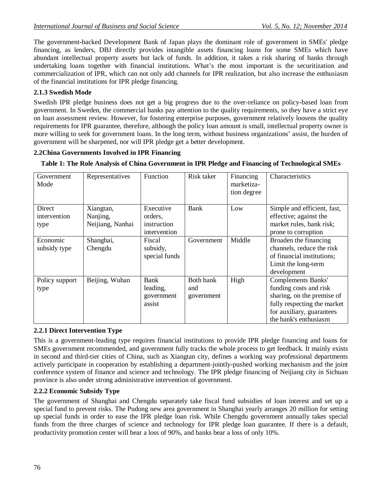The government-backed Development Bank of Japan plays the dominant role of government in SMEs' pledge financing, as lenders, DBJ directly provides intangible assets financing loans for some SMEs which have abundant intellectual property assets but lack of funds. In addition, it takes a risk sharing of banks through undertaking loans together with financial institutions. What's the most important is the securitization and commercialization of IPR, which can not only add channels for IPR realization, but also increase the enthusiasm of the financial institutions for IPR pledge financing.

# **2.1.3 Swedish Mode**

Swedish IPR pledge business does not get a big progress due to the over-reliance on policy-based loan from government. In Sweden, the commercial banks pay attention to the quality requirements, so they have a strict eye on loan assessment review. However, for fostering enterprise purposes, government relatively loosens the quality requirements for IPR guarantee, therefore, although the policy loan amount is small, intellectual property owner is more willing to seek for government loans. In the long term, without business organizations' assist, the burden of government will be sharpened, nor will IPR pledge get a better development.

## **2.2China Governments Involved in IPR Financing**

| Table 1: The Role Analysis of China Government in IPR Pledge and Financing of Technological SMEs |  |  |
|--------------------------------------------------------------------------------------------------|--|--|
|                                                                                                  |  |  |

| Government<br>Mode             | Representatives                           | <b>Function</b>                                     | Risk taker                     | Financing<br>marketiza-<br>tion degree | Characteristics                                                                                                                                                        |
|--------------------------------|-------------------------------------------|-----------------------------------------------------|--------------------------------|----------------------------------------|------------------------------------------------------------------------------------------------------------------------------------------------------------------------|
| Direct<br>intervention<br>type | Xiangtan,<br>Nanjing,<br>Neijiang, Nanhai | Executive<br>orders,<br>instruction<br>intervention | Bank                           | Low                                    | Simple and efficient, fast,<br>effective; against the<br>market rules, bank risk;<br>prone to corruption                                                               |
| Economic<br>subsidy type       | Shanghai,<br>Chengdu                      | Fiscal<br>subsidy,<br>special funds                 | Government                     | Middle                                 | Broaden the financing<br>channels, reduce the risk<br>of financial institutions;<br>Limit the long-term<br>development                                                 |
| Policy support<br>type         | Beijing, Wuhan                            | Bank<br>leading,<br>government<br>assist            | Both bank<br>and<br>government | High                                   | <b>Complements Banks'</b><br>funding costs and risk<br>sharing, on the premise of<br>fully respecting the market<br>for auxiliary, guarantees<br>the bank's enthusiasm |

#### **2.2.1 Direct Intervention Type**

This is a government-leading type requires financial institutions to provide IPR pledge financing and loans for SMEs government recommended, and government fully tracks the whole process to get feedback. It mainly exists in second and third-tier cities of China, such as Xiangtan city, defines a working way professional departments actively participate in cooperation by establishing a department-jointly-pushed working mechanism and the joint conference system of finance and science and technology. The IPR pledge financing of Neijiang city in Sichuan province is also under strong administrative intervention of government.

#### **2.2.2 Economic Subsidy Type**

The government of Shanghai and Chengdu separately take fiscal fund subsidies of loan interest and set up a special fund to prevent risks. The Pudong new area government in Shanghai yearly arranges 20 million for setting up special funds in order to ease the IPR pledge loan risk. While Chengdu government annually takes special funds from the three charges of science and technology for IPR pledge loan guarantee. If there is a default, productivity promotion center will bear a loss of 90%, and banks bear a loss of only 10%.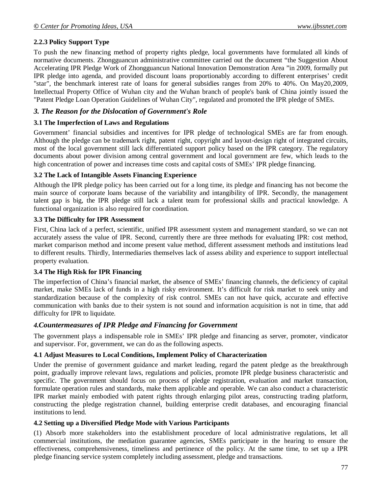## **2.2.3 Policy Support Type**

To push the new financing method of property rights pledge, local governments have formulated all kinds of normative documents. Zhongguancun administrative committee carried out the document "the Suggestion About Accelerating IPR Pledge Work of Zhongguancun National Innovation Demonstration Area "in 2009, formally put IPR pledge into agenda, and provided discount loans proportionably according to different enterprises' credit "star", the benchmark interest rate of loans for general subsidies ranges from 20% to 40%. On May20,2009, Intellectual Property Office of Wuhan city and the Wuhan branch of people's bank of China jointly issued the "Patent Pledge Loan Operation Guidelines of Wuhan City", regulated and promoted the IPR pledge of SMEs.

## *3. The Reason for the Dislocation of Government's Role*

#### **3.1 The Imperfection of Laws and Regulations**

Government' financial subsidies and incentives for IPR pledge of technological SMEs are far from enough. Although the pledge can be trademark right, patent right, copyright and layout-design right of integrated circuits, most of the local government still lack differentiated support policy based on the IPR category. The regulatory documents about power division among central government and local government are few, which leads to the high concentration of power and increases time costs and capital costs of SMEs' IPR pledge financing.

#### **3.2 The Lack of Intangible Assets Financing Experience**

Although the IPR pledge policy has been carried out for a long time, its pledge and financing has not become the main source of corporate loans because of the variability and intangibility of IPR. Secondly, the management talent gap is big, the IPR pledge still lack a talent team for professional skills and practical knowledge. A functional organization is also required for coordination.

#### **3.3 The Difficulty for IPR Assessment**

First, China lack of a perfect, scientific, unified IPR assessment system and management standard, so we can not accurately assess the value of IPR. Second, currently there are three methods for evaluating IPR: cost method, market comparison method and income present value method, different assessment methods and institutions lead to different results. Thirdly, Intermediaries themselves lack of assess ability and experience to support intellectual property evaluation.

#### **3.4 The High Risk for IPR Financing**

The imperfection of China's financial market, the absence of SMEs' financing channels, the deficiency of capital market, make SMEs lack of funds in a high risky environment. It's difficult for risk market to seek unity and standardization because of the complexity of risk control. SMEs can not have quick, accurate and effective communication with banks due to their system is not sound and information acquisition is not in time, that add difficulty for IPR to liquidate.

#### *4.Countermeasures of IPR Pledge and Financing for Government*

The government plays a indispensable role in SMEs' IPR pledge and financing as server, promoter, vindicator and supervisor. For, government, we can do as the following aspects.

#### **4.1 Adjust Measures to Local Conditions, Implement Policy of Characterization**

Under the premise of government guidance and market leading, regard the patent pledge as the breakthrough point, gradually improve relevant laws, regulations and policies, promote IPR pledge business characteristic and specific. The government should focus on process of pledge registration, evaluation and market transaction, formulate operation rules and standards, make them applicable and operable. We can also conduct a characteristic IPR market mainly embodied with patent rights through enlarging pilot areas, constructing trading platform, constructing the pledge registration channel, building enterprise credit databases, and encouraging financial institutions to lend.

#### **4.2 Setting up a Diversified Pledge Mode with Various Participants**

(1) Absorb more stakeholders into the establishment procedure of local administrative regulations, let all commercial institutions, the mediation guarantee agencies, SMEs participate in the hearing to ensure the effectiveness, comprehensiveness, timeliness and pertinence of the policy. At the same time, to set up a IPR pledge financing service system completely including assessment, pledge and transactions.